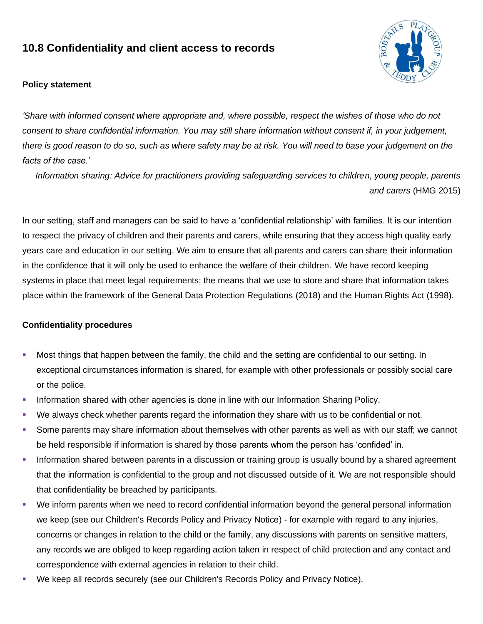# **10.8 Confidentiality and client access to records**



## **Policy statement**

*'Share with informed consent where appropriate and, where possible, respect the wishes of those who do not consent to share confidential information. You may still share information without consent if, in your judgement, there is good reason to do so, such as where safety may be at risk. You will need to base your judgement on the facts of the case.'*

*Information sharing: Advice for practitioners providing safeguarding services to children, young people, parents and carers* (HMG 2015)

In our setting, staff and managers can be said to have a 'confidential relationship' with families. It is our intention to respect the privacy of children and their parents and carers, while ensuring that they access high quality early years care and education in our setting. We aim to ensure that all parents and carers can share their information in the confidence that it will only be used to enhance the welfare of their children. We have record keeping systems in place that meet legal requirements; the means that we use to store and share that information takes place within the framework of the General Data Protection Regulations (2018) and the Human Rights Act (1998).

#### **Confidentiality procedures**

- Most things that happen between the family, the child and the setting are confidential to our setting. In exceptional circumstances information is shared, for example with other professionals or possibly social care or the police.
- **Information shared with other agencies is done in line with our Information Sharing Policy.**
- We always check whether parents regard the information they share with us to be confidential or not.
- Some parents may share information about themselves with other parents as well as with our staff; we cannot be held responsible if information is shared by those parents whom the person has 'confided' in.
- **•** Information shared between parents in a discussion or training group is usually bound by a shared agreement that the information is confidential to the group and not discussed outside of it. We are not responsible should that confidentiality be breached by participants.
- We inform parents when we need to record confidential information beyond the general personal information we keep (see our Children's Records Policy and Privacy Notice) - for example with regard to any injuries, concerns or changes in relation to the child or the family, any discussions with parents on sensitive matters, any records we are obliged to keep regarding action taken in respect of child protection and any contact and correspondence with external agencies in relation to their child.
- We keep all records securely (see our Children's Records Policy and Privacy Notice).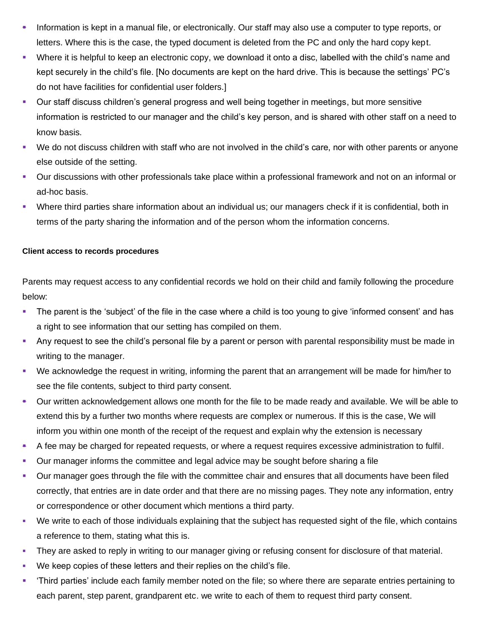- Information is kept in a manual file, or electronically. Our staff may also use a computer to type reports, or letters. Where this is the case, the typed document is deleted from the PC and only the hard copy kept.
- Where it is helpful to keep an electronic copy, we download it onto a disc, labelled with the child's name and kept securely in the child's file. [No documents are kept on the hard drive. This is because the settings' PC's do not have facilities for confidential user folders.]
- **•** Our staff discuss children's general progress and well being together in meetings, but more sensitive information is restricted to our manager and the child's key person, and is shared with other staff on a need to know basis.
- We do not discuss children with staff who are not involved in the child's care, nor with other parents or anyone else outside of the setting.
- Our discussions with other professionals take place within a professional framework and not on an informal or ad-hoc basis.
- Where third parties share information about an individual us; our managers check if it is confidential, both in terms of the party sharing the information and of the person whom the information concerns.

### **Client access to records procedures**

Parents may request access to any confidential records we hold on their child and family following the procedure below:

- The parent is the 'subject' of the file in the case where a child is too young to give 'informed consent' and has a right to see information that our setting has compiled on them.
- **•** Any request to see the child's personal file by a parent or person with parental responsibility must be made in writing to the manager.
- We acknowledge the request in writing, informing the parent that an arrangement will be made for him/her to see the file contents, subject to third party consent.
- Our written acknowledgement allows one month for the file to be made ready and available. We will be able to extend this by a further two months where requests are complex or numerous. If this is the case, We will inform you within one month of the receipt of the request and explain why the extension is necessary
- A fee may be charged for repeated requests, or where a request requires excessive administration to fulfil.
- **•** Our manager informs the committee and legal advice may be sought before sharing a file
- Our manager goes through the file with the committee chair and ensures that all documents have been filed correctly, that entries are in date order and that there are no missing pages. They note any information, entry or correspondence or other document which mentions a third party.
- We write to each of those individuals explaining that the subject has requested sight of the file, which contains a reference to them, stating what this is.
- They are asked to reply in writing to our manager giving or refusing consent for disclosure of that material.
- We keep copies of these letters and their replies on the child's file.
- 'Third parties' include each family member noted on the file; so where there are separate entries pertaining to each parent, step parent, grandparent etc. we write to each of them to request third party consent.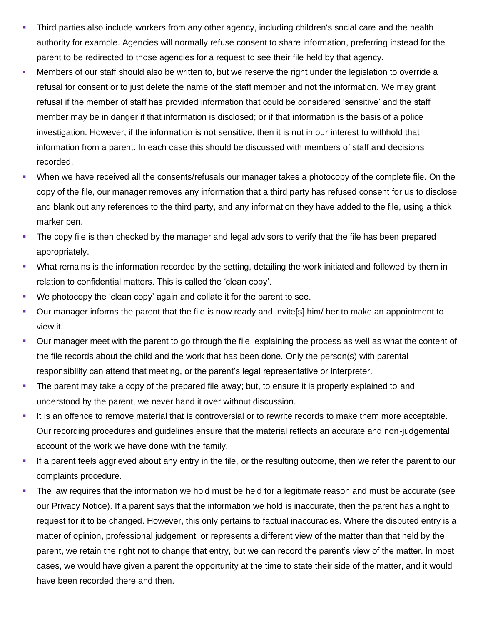- **•** Third parties also include workers from any other agency, including children's social care and the health authority for example. Agencies will normally refuse consent to share information, preferring instead for the parent to be redirected to those agencies for a request to see their file held by that agency.
- Members of our staff should also be written to, but we reserve the right under the legislation to override a refusal for consent or to just delete the name of the staff member and not the information. We may grant refusal if the member of staff has provided information that could be considered 'sensitive' and the staff member may be in danger if that information is disclosed; or if that information is the basis of a police investigation. However, if the information is not sensitive, then it is not in our interest to withhold that information from a parent. In each case this should be discussed with members of staff and decisions recorded.
- When we have received all the consents/refusals our manager takes a photocopy of the complete file. On the copy of the file, our manager removes any information that a third party has refused consent for us to disclose and blank out any references to the third party, and any information they have added to the file, using a thick marker pen.
- The copy file is then checked by the manager and legal advisors to verify that the file has been prepared appropriately.
- What remains is the information recorded by the setting, detailing the work initiated and followed by them in relation to confidential matters. This is called the 'clean copy'.
- We photocopy the 'clean copy' again and collate it for the parent to see.
- Our manager informs the parent that the file is now ready and invite[s] him/ her to make an appointment to view it.
- Our manager meet with the parent to go through the file, explaining the process as well as what the content of the file records about the child and the work that has been done. Only the person(s) with parental responsibility can attend that meeting, or the parent's legal representative or interpreter.
- **•** The parent may take a copy of the prepared file away; but, to ensure it is properly explained to and understood by the parent, we never hand it over without discussion.
- **■** It is an offence to remove material that is controversial or to rewrite records to make them more acceptable. Our recording procedures and guidelines ensure that the material reflects an accurate and non-judgemental account of the work we have done with the family.
- If a parent feels aggrieved about any entry in the file, or the resulting outcome, then we refer the parent to our complaints procedure.
- **•** The law requires that the information we hold must be held for a legitimate reason and must be accurate (see our Privacy Notice). If a parent says that the information we hold is inaccurate, then the parent has a right to request for it to be changed. However, this only pertains to factual inaccuracies. Where the disputed entry is a matter of opinion, professional judgement, or represents a different view of the matter than that held by the parent, we retain the right not to change that entry, but we can record the parent's view of the matter. In most cases, we would have given a parent the opportunity at the time to state their side of the matter, and it would have been recorded there and then.